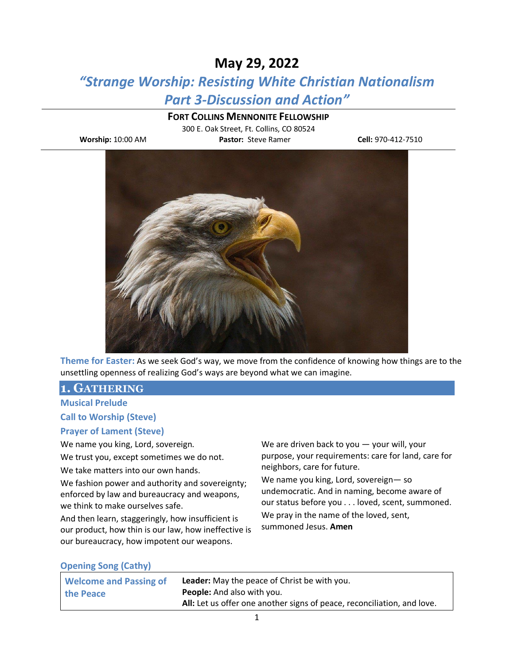# **May 29, 2022**

# *"Strange Worship: Resisting White Christian Nationalism Part 3-Discussion and Action"*

### **FORT COLLINS MENNONITE FELLOWSHIP**

300 E. Oak Street, Ft. Collins, CO 80524

**Worship:** 10:00 AM **Pastor:** Steve Ramer **Cell:** 970-412-7510



**Theme for Easter:** As we seek God's way, we move from the confidence of knowing how things are to the unsettling openness of realizing God's ways are beyond what we can imagine.

## **1. GATHERING**

## **Musical Prelude**

#### **Call to Worship (Steve)**

#### **Prayer of Lament (Steve)**

We name you king, Lord, sovereign.

We trust you, except sometimes we do not.

We take matters into our own hands.

We fashion power and authority and sovereignty; enforced by law and bureaucracy and weapons, we think to make ourselves safe.

And then learn, staggeringly, how insufficient is our product, how thin is our law, how ineffective is our bureaucracy, how impotent our weapons.

We are driven back to you — your will, your purpose, your requirements: care for land, care for neighbors, care for future.

We name you king, Lord, sovereign— so undemocratic. And in naming, become aware of our status before you . . . loved, scent, summoned. We pray in the name of the loved, sent, summoned Jesus. **Amen**

#### **Opening Song (Cathy)**

| <b>Welcome and Passing of</b> | <b>Leader:</b> May the peace of Christ be with you.                     |
|-------------------------------|-------------------------------------------------------------------------|
| the Peace                     | <b>People:</b> And also with you.                                       |
|                               | All: Let us offer one another signs of peace, reconciliation, and love. |